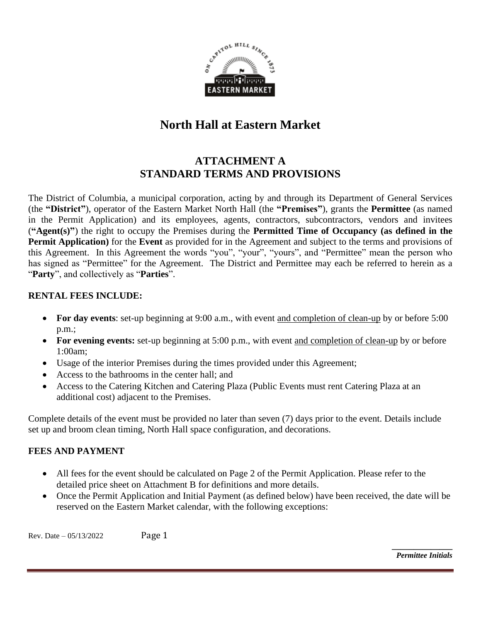

# **North Hall at Eastern Market**

# **ATTACHMENT A STANDARD TERMS AND PROVISIONS**

The District of Columbia, a municipal corporation, acting by and through its Department of General Services (the **"District"**), operator of the Eastern Market North Hall (the **"Premises"**), grants the **Permittee** (as named in the Permit Application) and its employees, agents, contractors, subcontractors, vendors and invitees (**"Agent(s)"**) the right to occupy the Premises during the **Permitted Time of Occupancy (as defined in the Permit Application)** for the **Event** as provided for in the Agreement and subject to the terms and provisions of this Agreement. In this Agreement the words "you", "your", "yours", and "Permittee" mean the person who has signed as "Permittee" for the Agreement. The District and Permittee may each be referred to herein as a "**Party**", and collectively as "**Parties**".

### **RENTAL FEES INCLUDE:**

- **For day events**: set-up beginning at 9:00 a.m., with event and completion of clean-up by or before 5:00 p.m.;
- For evening events: set-up beginning at 5:00 p.m., with event and completion of clean-up by or before 1:00am;
- Usage of the interior Premises during the times provided under this Agreement;
- Access to the bathrooms in the center hall; and
- Access to the Catering Kitchen and Catering Plaza (Public Events must rent Catering Plaza at an additional cost) adjacent to the Premises.

Complete details of the event must be provided no later than seven (7) days prior to the event. Details include set up and broom clean timing, North Hall space configuration, and decorations.

### **FEES AND PAYMENT**

- All fees for the event should be calculated on Page 2 of the Permit Application. Please refer to the detailed price sheet on Attachment B for definitions and more details.
- Once the Permit Application and Initial Payment (as defined below) have been received, the date will be reserved on the Eastern Market calendar, with the following exceptions:

Rev. Date – 05/13/2022 Page 1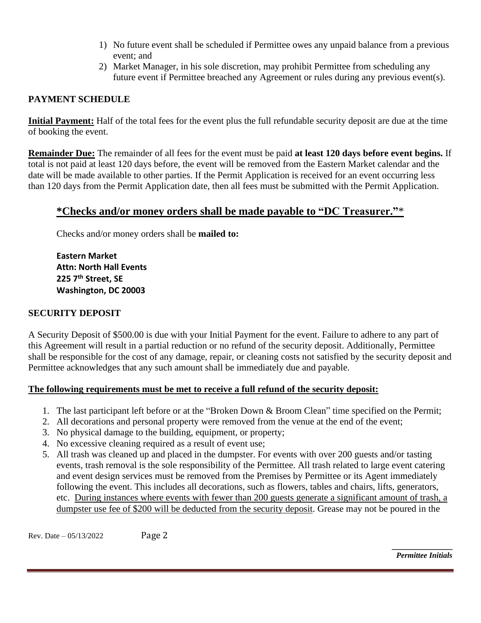- 1) No future event shall be scheduled if Permittee owes any unpaid balance from a previous event; and
- 2) Market Manager, in his sole discretion, may prohibit Permittee from scheduling any future event if Permittee breached any Agreement or rules during any previous event(s).

### **PAYMENT SCHEDULE**

**Initial Payment:** Half of the total fees for the event plus the full refundable security deposit are due at the time of booking the event.

**Remainder Due:** The remainder of all fees for the event must be paid **at least 120 days before event begins.** If total is not paid at least 120 days before, the event will be removed from the Eastern Market calendar and the date will be made available to other parties. If the Permit Application is received for an event occurring less than 120 days from the Permit Application date, then all fees must be submitted with the Permit Application.

## **\*Checks and/or money orders shall be made payable to "DC Treasurer."**\*

Checks and/or money orders shall be **mailed to:** 

**Eastern Market Attn: North Hall Events 225 7th Street, SE Washington, DC 20003** 

### **SECURITY DEPOSIT**

A Security Deposit of \$500.00 is due with your Initial Payment for the event. Failure to adhere to any part of this Agreement will result in a partial reduction or no refund of the security deposit. Additionally, Permittee shall be responsible for the cost of any damage, repair, or cleaning costs not satisfied by the security deposit and Permittee acknowledges that any such amount shall be immediately due and payable.

### **The following requirements must be met to receive a full refund of the security deposit:**

- 1. The last participant left before or at the "Broken Down & Broom Clean" time specified on the Permit;
- 2. All decorations and personal property were removed from the venue at the end of the event;
- 3. No physical damage to the building, equipment, or property;
- 4. No excessive cleaning required as a result of event use;
- 5. All trash was cleaned up and placed in the dumpster. For events with over 200 guests and/or tasting events, trash removal is the sole responsibility of the Permittee. All trash related to large event catering and event design services must be removed from the Premises by Permittee or its Agent immediately following the event. This includes all decorations, such as flowers, tables and chairs, lifts, generators, etc. During instances where events with fewer than 200 guests generate a significant amount of trash, a dumpster use fee of \$200 will be deducted from the security deposit. Grease may not be poured in the

Rev. Date – 05/13/2022 Page 2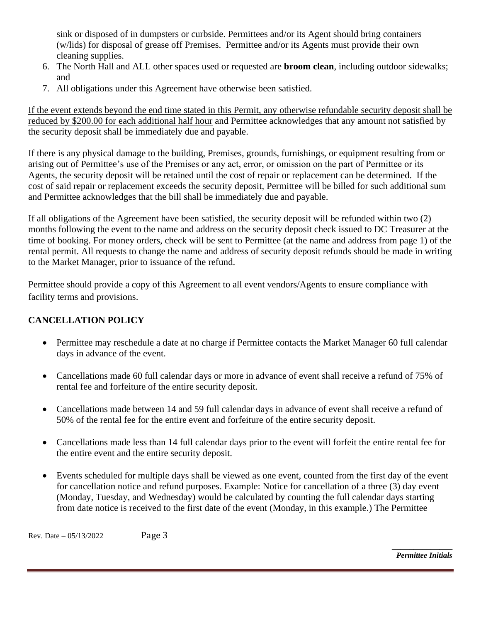sink or disposed of in dumpsters or curbside. Permittees and/or its Agent should bring containers (w/lids) for disposal of grease off Premises. Permittee and/or its Agents must provide their own cleaning supplies.

- 6. The North Hall and ALL other spaces used or requested are **broom clean**, including outdoor sidewalks; and
- 7. All obligations under this Agreement have otherwise been satisfied.

If the event extends beyond the end time stated in this Permit, any otherwise refundable security deposit shall be reduced by \$200.00 for each additional half hour and Permittee acknowledges that any amount not satisfied by the security deposit shall be immediately due and payable.

If there is any physical damage to the building, Premises, grounds, furnishings, or equipment resulting from or arising out of Permittee's use of the Premises or any act, error, or omission on the part of Permittee or its Agents, the security deposit will be retained until the cost of repair or replacement can be determined. If the cost of said repair or replacement exceeds the security deposit, Permittee will be billed for such additional sum and Permittee acknowledges that the bill shall be immediately due and payable.

If all obligations of the Agreement have been satisfied, the security deposit will be refunded within two (2) months following the event to the name and address on the security deposit check issued to DC Treasurer at the time of booking. For money orders, check will be sent to Permittee (at the name and address from page 1) of the rental permit. All requests to change the name and address of security deposit refunds should be made in writing to the Market Manager, prior to issuance of the refund.

Permittee should provide a copy of this Agreement to all event vendors/Agents to ensure compliance with facility terms and provisions.

## **CANCELLATION POLICY**

- Permittee may reschedule a date at no charge if Permittee contacts the Market Manager 60 full calendar days in advance of the event.
- Cancellations made 60 full calendar days or more in advance of event shall receive a refund of 75% of rental fee and forfeiture of the entire security deposit.
- Cancellations made between 14 and 59 full calendar days in advance of event shall receive a refund of 50% of the rental fee for the entire event and forfeiture of the entire security deposit.
- Cancellations made less than 14 full calendar days prior to the event will forfeit the entire rental fee for the entire event and the entire security deposit.
- Events scheduled for multiple days shall be viewed as one event, counted from the first day of the event for cancellation notice and refund purposes. Example: Notice for cancellation of a three (3) day event (Monday, Tuesday, and Wednesday) would be calculated by counting the full calendar days starting from date notice is received to the first date of the event (Monday, in this example.) The Permittee

Rev. Date – 05/13/2022 Page 3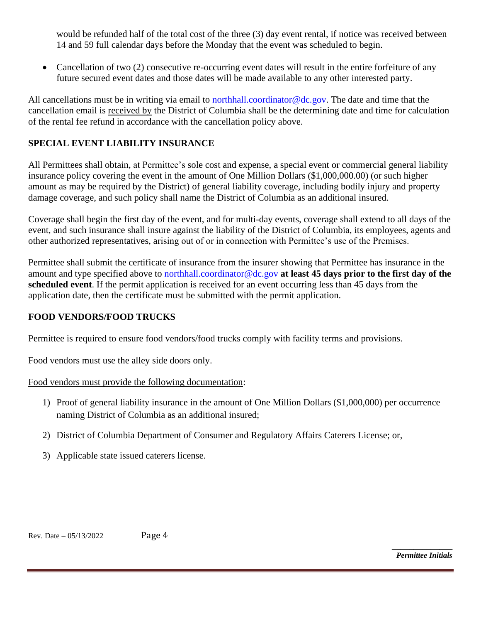would be refunded half of the total cost of the three (3) day event rental, if notice was received between 14 and 59 full calendar days before the Monday that the event was scheduled to begin.

• Cancellation of two (2) consecutive re-occurring event dates will result in the entire forfeiture of any future secured event dates and those dates will be made available to any other interested party.

All cancellations must be in writing via email to [northhall.coordinator@dc.gov.](mailto:northhall.coordinator@dc.gov) The date and time that the cancellation email is received by the District of Columbia shall be the determining date and time for calculation of the rental fee refund in accordance with the cancellation policy above.

### **SPECIAL EVENT LIABILITY INSURANCE**

All Permittees shall obtain, at Permittee's sole cost and expense, a special event or commercial general liability insurance policy covering the event in the amount of One Million Dollars (\$1,000,000.00) (or such higher amount as may be required by the District) of general liability coverage, including bodily injury and property damage coverage, and such policy shall name the District of Columbia as an additional insured.

Coverage shall begin the first day of the event, and for multi-day events, coverage shall extend to all days of the event, and such insurance shall insure against the liability of the District of Columbia, its employees, agents and other authorized representatives, arising out of or in connection with Permittee's use of the Premises.

Permittee shall submit the certificate of insurance from the insurer showing that Permittee has insurance in the amount and type specified above to [northhall.coordinator@dc.gov](mailto:northhall.events@dc.gov) **at least 45 days prior to the first day of the scheduled event**. If the permit application is received for an event occurring less than 45 days from the application date, then the certificate must be submitted with the permit application.

### **FOOD VENDORS/FOOD TRUCKS**

Permittee is required to ensure food vendors/food trucks comply with facility terms and provisions.

Food vendors must use the alley side doors only.

### Food vendors must provide the following documentation:

- 1) Proof of general liability insurance in the amount of One Million Dollars (\$1,000,000) per occurrence naming District of Columbia as an additional insured;
- 2) District of Columbia Department of Consumer and Regulatory Affairs Caterers License; or,
- 3) Applicable state issued caterers license.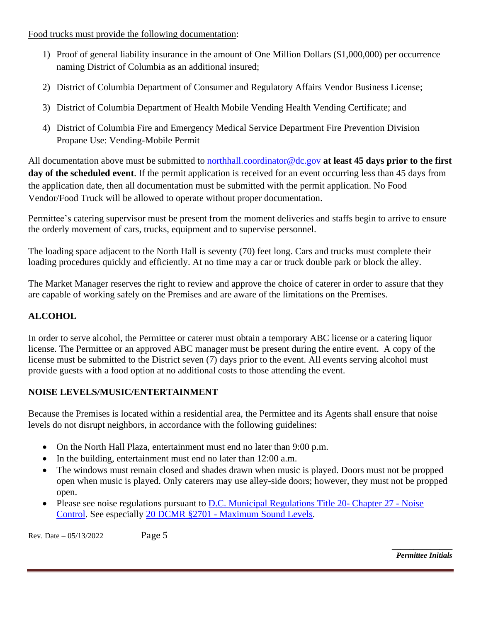Food trucks must provide the following documentation:

- 1) Proof of general liability insurance in the amount of One Million Dollars (\$1,000,000) per occurrence naming District of Columbia as an additional insured;
- 2) District of Columbia Department of Consumer and Regulatory Affairs Vendor Business License;
- 3) District of Columbia Department of Health Mobile Vending Health Vending Certificate; and
- 4) District of Columbia Fire and Emergency Medical Service Department Fire Prevention Division Propane Use: Vending-Mobile Permit

All documentation above must be submitted to [northhall.coordinator@dc.gov](mailto:northhall.events@dc.gov) **at least 45 days prior to the first day of the scheduled event**. If the permit application is received for an event occurring less than 45 days from the application date, then all documentation must be submitted with the permit application. No Food Vendor/Food Truck will be allowed to operate without proper documentation.

Permittee's catering supervisor must be present from the moment deliveries and staffs begin to arrive to ensure the orderly movement of cars, trucks, equipment and to supervise personnel.

The loading space adjacent to the North Hall is seventy (70) feet long. Cars and trucks must complete their loading procedures quickly and efficiently. At no time may a car or truck double park or block the alley.

The Market Manager reserves the right to review and approve the choice of caterer in order to assure that they are capable of working safely on the Premises and are aware of the limitations on the Premises.

## **ALCOHOL**

In order to serve alcohol, the Permittee or caterer must obtain a temporary ABC license or a catering liquor license. The Permittee or an approved ABC manager must be present during the entire event. A copy of the license must be submitted to the District seven (7) days prior to the event. All events serving alcohol must provide guests with a food option at no additional costs to those attending the event.

### **NOISE LEVELS/MUSIC/ENTERTAINMENT**

Because the Premises is located within a residential area, the Permittee and its Agents shall ensure that noise levels do not disrupt neighbors, in accordance with the following guidelines:

- On the North Hall Plaza, entertainment must end no later than 9:00 p.m.
- In the building, entertainment must end no later than 12:00 a.m.
- The windows must remain closed and shades drawn when music is played. Doors must not be propped open when music is played. Only caterers may use alley-side doors; however, they must not be propped open.
- Please see noise regulations pursuant to [D.C. Municipal Regulations Title](http://www.dcregs.dc.gov/Gateway/ChapterHome.aspx?ChapterNumber=20-27) 20- Chapter 27 Noise [Control.](http://www.dcregs.dc.gov/Gateway/ChapterHome.aspx?ChapterNumber=20-27) See especially 20 DCMR §2701 - [Maximum Sound Levels.](http://www.dcregs.dc.gov/Gateway/FinalAdoptionHome.aspx?RuleVersionID=760400)

Rev. Date – 05/13/2022 Page 5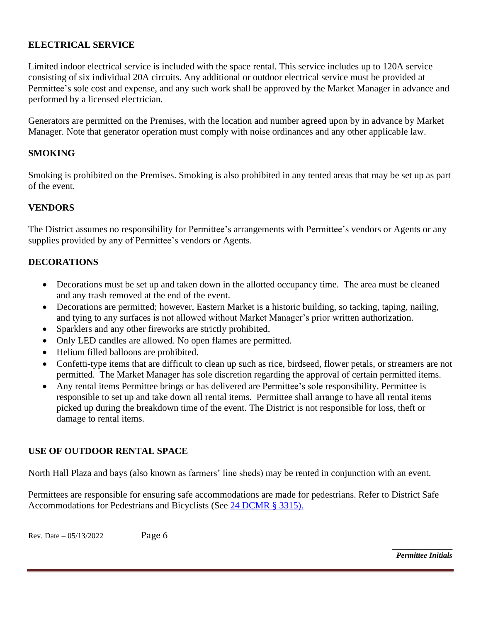### **ELECTRICAL SERVICE**

Limited indoor electrical service is included with the space rental. This service includes up to 120A service consisting of six individual 20A circuits. Any additional or outdoor electrical service must be provided at Permittee's sole cost and expense, and any such work shall be approved by the Market Manager in advance and performed by a licensed electrician.

Generators are permitted on the Premises, with the location and number agreed upon by in advance by Market Manager. Note that generator operation must comply with noise ordinances and any other applicable law.

### **SMOKING**

Smoking is prohibited on the Premises. Smoking is also prohibited in any tented areas that may be set up as part of the event.

#### **VENDORS**

The District assumes no responsibility for Permittee's arrangements with Permittee's vendors or Agents or any supplies provided by any of Permittee's vendors or Agents.

### **DECORATIONS**

- Decorations must be set up and taken down in the allotted occupancy time. The area must be cleaned and any trash removed at the end of the event.
- Decorations are permitted; however, Eastern Market is a historic building, so tacking, taping, nailing, and tying to any surfaces is not allowed without Market Manager's prior written authorization.
- Sparklers and any other fireworks are strictly prohibited.
- Only LED candles are allowed. No open flames are permitted.
- Helium filled balloons are prohibited.
- Confetti-type items that are difficult to clean up such as rice, birdseed, flower petals, or streamers are not permitted. The Market Manager has sole discretion regarding the approval of certain permitted items.
- Any rental items Permittee brings or has delivered are Permittee's sole responsibility. Permittee is responsible to set up and take down all rental items. Permittee shall arrange to have all rental items picked up during the breakdown time of the event. The District is not responsible for loss, theft or damage to rental items.

#### **USE OF OUTDOOR RENTAL SPACE**

North Hall Plaza and bays (also known as farmers' line sheds) may be rented in conjunction with an event.

Permittees are responsible for ensuring safe accommodations are made for pedestrians. Refer to District Safe Accommodations for Pedestrians and Bicyclists (See [24 DCMR § 3315\).](http://www.dcregs.dc.gov/Gateway/TitleHome.aspx?TitleNumber=24)

Rev. Date – 05/13/2022 Page 6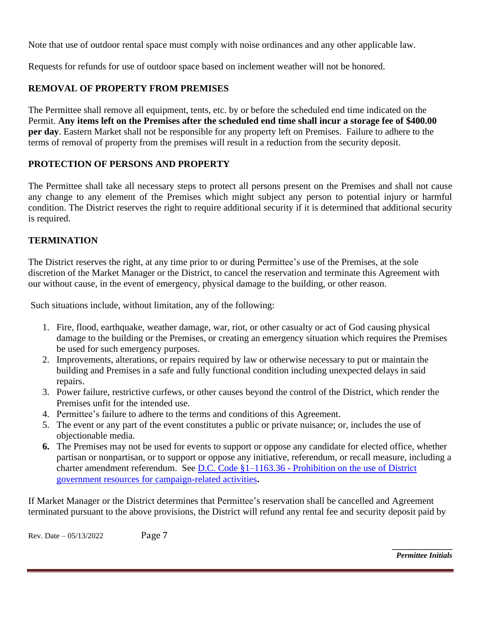Note that use of outdoor rental space must comply with noise ordinances and any other applicable law.

Requests for refunds for use of outdoor space based on inclement weather will not be honored.

## **REMOVAL OF PROPERTY FROM PREMISES**

The Permittee shall remove all equipment, tents, etc. by or before the scheduled end time indicated on the Permit. **Any items left on the Premises after the scheduled end time shall incur a storage fee of \$400.00 per day**. Eastern Market shall not be responsible for any property left on Premises. Failure to adhere to the terms of removal of property from the premises will result in a reduction from the security deposit.

### **PROTECTION OF PERSONS AND PROPERTY**

The Permittee shall take all necessary steps to protect all persons present on the Premises and shall not cause any change to any element of the Premises which might subject any person to potential injury or harmful condition. The District reserves the right to require additional security if it is determined that additional security is required.

### **TERMINATION**

The District reserves the right, at any time prior to or during Permittee's use of the Premises, at the sole discretion of the Market Manager or the District, to cancel the reservation and terminate this Agreement with our without cause, in the event of emergency, physical damage to the building, or other reason.

Such situations include, without limitation, any of the following:

- 1. Fire, flood, earthquake, weather damage, war, riot, or other casualty or act of God causing physical damage to the building or the Premises, or creating an emergency situation which requires the Premises be used for such emergency purposes.
- 2. Improvements, alterations, or repairs required by law or otherwise necessary to put or maintain the building and Premises in a safe and fully functional condition including unexpected delays in said repairs.
- 3. Power failure, restrictive curfews, or other causes beyond the control of the District, which render the Premises unfit for the intended use.
- 4. Permittee's failure to adhere to the terms and conditions of this Agreement.
- 5. The event or any part of the event constitutes a public or private nuisance; or, includes the use of objectionable media.
- **6.** The Premises may not be used for events to support or oppose any candidate for elected office, whether partisan or nonpartisan, or to support or oppose any initiative, referendum, or recall measure, including a charter amendment referendum. See D.C. Code §1–1163.36 - [Prohibition on the use of District](https://beta.code.dccouncil.us/dc/council/code/sections/1-1163.36.html)  [government resources for campaign-related activities](https://beta.code.dccouncil.us/dc/council/code/sections/1-1163.36.html)**.**

If Market Manager or the District determines that Permittee's reservation shall be cancelled and Agreement terminated pursuant to the above provisions, the District will refund any rental fee and security deposit paid by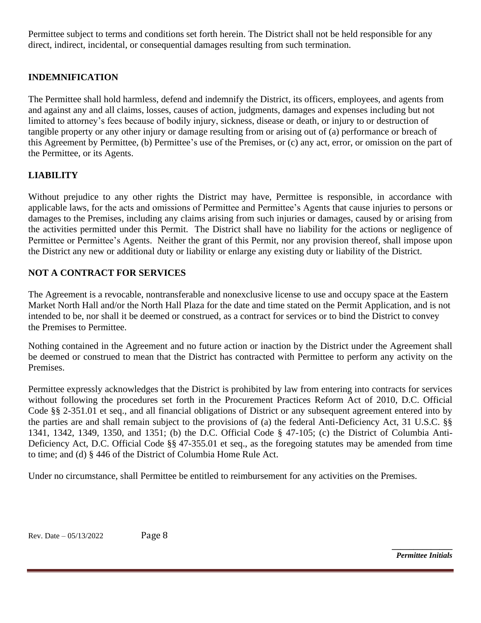Permittee subject to terms and conditions set forth herein. The District shall not be held responsible for any direct, indirect, incidental, or consequential damages resulting from such termination.

### **INDEMNIFICATION**

The Permittee shall hold harmless, defend and indemnify the District, its officers, employees, and agents from and against any and all claims, losses, causes of action, judgments, damages and expenses including but not limited to attorney's fees because of bodily injury, sickness, disease or death, or injury to or destruction of tangible property or any other injury or damage resulting from or arising out of (a) performance or breach of this Agreement by Permittee, (b) Permittee's use of the Premises, or (c) any act, error, or omission on the part of the Permittee, or its Agents.

### **LIABILITY**

Without prejudice to any other rights the District may have, Permittee is responsible, in accordance with applicable laws, for the acts and omissions of Permittee and Permittee's Agents that cause injuries to persons or damages to the Premises, including any claims arising from such injuries or damages, caused by or arising from the activities permitted under this Permit. The District shall have no liability for the actions or negligence of Permittee or Permittee's Agents. Neither the grant of this Permit, nor any provision thereof, shall impose upon the District any new or additional duty or liability or enlarge any existing duty or liability of the District.

### **NOT A CONTRACT FOR SERVICES**

The Agreement is a revocable, nontransferable and nonexclusive license to use and occupy space at the Eastern Market North Hall and/or the North Hall Plaza for the date and time stated on the Permit Application, and is not intended to be, nor shall it be deemed or construed, as a contract for services or to bind the District to convey the Premises to Permittee.

Nothing contained in the Agreement and no future action or inaction by the District under the Agreement shall be deemed or construed to mean that the District has contracted with Permittee to perform any activity on the Premises.

Permittee expressly acknowledges that the District is prohibited by law from entering into contracts for services without following the procedures set forth in the Procurement Practices Reform Act of 2010, D.C. Official Code §§ 2-351.01 et seq., and all financial obligations of District or any subsequent agreement entered into by the parties are and shall remain subject to the provisions of (a) the federal Anti-Deficiency Act, 31 U.S.C. §§ 1341, 1342, 1349, 1350, and 1351; (b) the D.C. Official Code § 47-105; (c) the District of Columbia Anti-Deficiency Act, D.C. Official Code §§ 47-355.01 et seq., as the foregoing statutes may be amended from time to time; and (d) § 446 of the District of Columbia Home Rule Act.

Under no circumstance, shall Permittee be entitled to reimbursement for any activities on the Premises.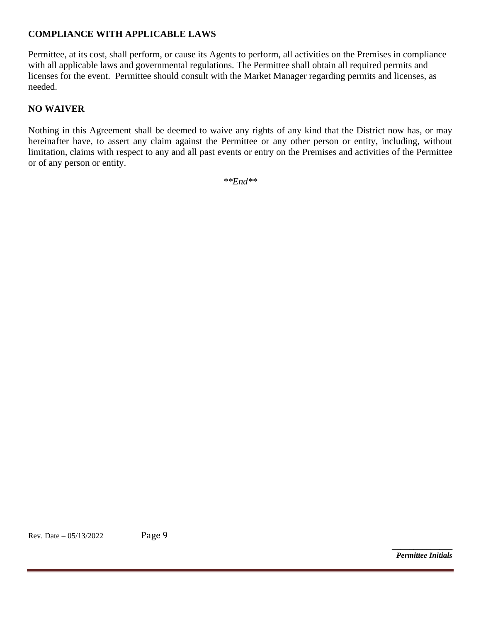### **COMPLIANCE WITH APPLICABLE LAWS**

Permittee, at its cost, shall perform, or cause its Agents to perform, all activities on the Premises in compliance with all applicable laws and governmental regulations. The Permittee shall obtain all required permits and licenses for the event. Permittee should consult with the Market Manager regarding permits and licenses, as needed.

## **NO WAIVER**

Nothing in this Agreement shall be deemed to waive any rights of any kind that the District now has, or may hereinafter have, to assert any claim against the Permittee or any other person or entity, including, without limitation, claims with respect to any and all past events or entry on the Premises and activities of the Permittee or of any person or entity.

*\*\*End\*\**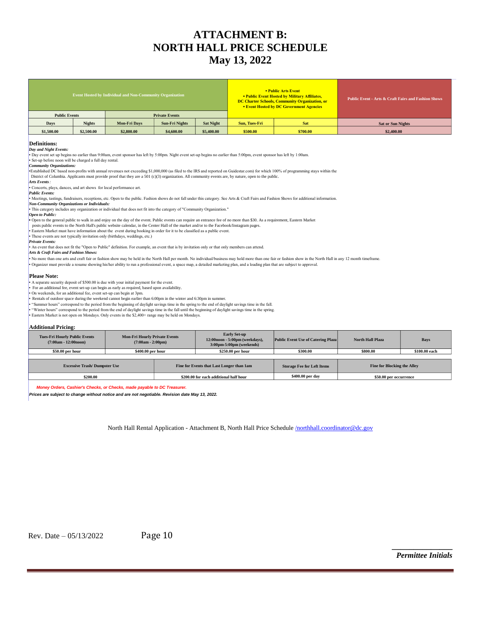# **ATTACHMENT B: NORTH HALL PRICE SCHEDULE May 13, 2022**

|                      |               | <b>Event Hosted by Individual and Non-Community Organization</b> |                |                  | <b>• Public Arts Event</b><br><b>• Public Event Hosted by Military Affiliates,</b><br>DC Charter Schools, Community Organization, or<br><b>Event Hosted by DC Government Agencies</b> |          | <b>Public Event - Arts &amp; Craft Fairs and Fashion Shows</b> |  |
|----------------------|---------------|------------------------------------------------------------------|----------------|------------------|---------------------------------------------------------------------------------------------------------------------------------------------------------------------------------------|----------|----------------------------------------------------------------|--|
| <b>Public Events</b> |               | <b>Private Events</b>                                            |                |                  |                                                                                                                                                                                       |          |                                                                |  |
| Days                 | <b>Nights</b> | <b>Mon-Fri Days</b>                                              | Sun-Fri Nights | <b>Sat Night</b> | Sun, Tues-Fri                                                                                                                                                                         | Sat      | <b>Sat or Sun Nights</b>                                       |  |
| \$1,500.00           | \$2,500.00    | \$2,800.00                                                       | \$4,600.00     | \$5,400.00       | \$500.00                                                                                                                                                                              | \$700.00 | \$2,400.00                                                     |  |

#### **Definitions:**

*Day and Night Events:*

• Day event set up begins no earlier than 9:00am, event sponsor has left by 5:00pm. Night event set-up begins no earlier than 5:00pm, event sponsor has left by 1:00am.<br>• Set-up before noon will be charged a full day rental

*Community Organizations:* 

Established DC based non-profits with annual revenues not exceeding \$1,000,000 (as filed to the IRS and reported on Guidestar.com) for which 100% of programming stays within the<br>District of Columbia. Applicants must provid

*Arts Events:* 

▪ Concerts, plays, dances, and art shows for local performance art.

#### *Public Events:*

▪ Meetings, tastings, fundraisers, receptions, etc. Open to the public. Fashion shows do not fall under this category. See Arts & Craft Fairs and Fashion Shows for additional information.

*Non-Community Organizations or Individuals:* 

▪ This category includes any organization or individual that does not fit into the category of "Community Organization." *Open to Public:* 

**▪** Open to the general public to walk in and enjoy on the day of the event. Public events can require an entrance fee of no more than \$30. As a requirement, Eastern Market

posts public events to the North Hall's public website calendar, in the Center Hall of the market and/or to the Facebook/Instagram pages.<br>• Eastern Market must have information about the event during booking in order for i

▪ These events are not typically invitation only (birthdays, weddings, etc.)

*Private Events:* 

An event that does not fit the "Open to Public" definition. For example, an event that is by invitation only or that only members can attend.

*Arts & Craft Fairs and Fashion Shows:*

No more than one arts and craft fair or fashion show may be held in the North Hall per month. No individual/business may hold more than one fair or fashion show in the North Hall in any 12 month timeframe

▪ Organizer must provide a resume showing his/her ability to run a professional event, a space map, a detailed marketing plan, and a loading plan that are subject to approval.

#### **Please Note:**

A separate security deposit of \$500.00 is due with your initial payment for the event.

▪ For an additional fee, event set-up can begin as early as required, based upon availability. ▪ On weekends, for an additional fee, event set-up can begin at 3pm.

▪ Rentals of outdoor space during the weekend cannot begin earlier than 6:00pm in the winter and 6:30pm in summer.

" Summer hours" correspond to the period from the beginning of daylight savings time in the spring to the end of daylight savings time in the fall.<br>" "Winter hours" correspond to the period from the end of daylight savings

Eastern Market is not open on Mondays. Only events in the \$2,400+ range may be held on Mondays.

#### **Additional Pricing:**

| <b>Tues-Fri Hourly Public Events</b><br>$(7:00am - 12:00noon)$ | <b>Mon-Fri Hourly Private Events</b><br>$(7:00am - 2:00pm)$ |                                        | <b>Early Set-up</b><br>12:00noon - 5:00pm (weekdays),<br>$3:00 \text{pm}-5:00 \text{pm}$ (weekends) | <b>Public Event Use of Catering Plaza</b> | <b>North Hall Plaza</b>            | <b>Bays</b>   |
|----------------------------------------------------------------|-------------------------------------------------------------|----------------------------------------|-----------------------------------------------------------------------------------------------------|-------------------------------------------|------------------------------------|---------------|
| \$50.00 per hour                                               | \$400.00 per hour                                           |                                        | \$250.00 per hour                                                                                   | \$300.00                                  | \$800.00                           | \$100.00 each |
|                                                                |                                                             |                                        |                                                                                                     |                                           |                                    |               |
| <b>Excessive Trash/Dumpster Use</b>                            |                                                             |                                        | Fine for Events that Last Longer than 1am                                                           | <b>Storage Fee for Left Items</b>         | <b>Fine for Blocking the Alley</b> |               |
| \$200.00                                                       |                                                             | \$200,00 for each additional half hour |                                                                                                     | \$400.00 per day                          | \$50.00 per occurrence             |               |

*Money Orders, Cashier's Checks, or Checks, made payable to DC Treasurer.*

*Prices are subject to change without notice and are not negotiable. Revision date May 13, 2022.*

North Hall Rental Application - Attachment B, North Hall Price Schedule [/northhall.coordinator@dc.gov](mailto:/market.manager@dc.gov)

Rev. Date – 05/13/2022 Page 10